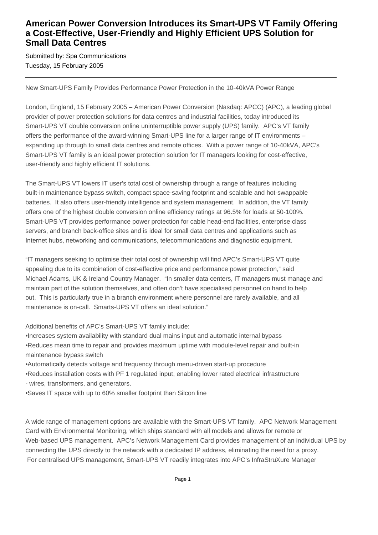## **American Power Conversion Introduces its Smart-UPS VT Family Offering a Cost-Effective, User-Friendly and Highly Efficient UPS Solution for Small Data Centres**

Submitted by: Spa Communications Tuesday, 15 February 2005

New Smart-UPS Family Provides Performance Power Protection in the 10-40kVA Power Range

London, England, 15 February 2005 – American Power Conversion (Nasdaq: APCC) (APC), a leading global provider of power protection solutions for data centres and industrial facilities, today introduced its Smart-UPS VT double conversion online uninterruptible power supply (UPS) family. APC's VT family offers the performance of the award-winning Smart-UPS line for a larger range of IT environments – expanding up through to small data centres and remote offices. With a power range of 10-40kVA, APC's Smart-UPS VT family is an ideal power protection solution for IT managers looking for cost-effective, user-friendly and highly efficient IT solutions.

The Smart-UPS VT lowers IT user's total cost of ownership through a range of features including built-in maintenance bypass switch, compact space-saving footprint and scalable and hot-swappable batteries. It also offers user-friendly intelligence and system management. In addition, the VT family offers one of the highest double conversion online efficiency ratings at 96.5% for loads at 50-100%. Smart-UPS VT provides performance power protection for cable head-end facilities, enterprise class servers, and branch back-office sites and is ideal for small data centres and applications such as Internet hubs, networking and communications, telecommunications and diagnostic equipment.

"IT managers seeking to optimise their total cost of ownership will find APC's Smart-UPS VT quite appealing due to its combination of cost-effective price and performance power protection," said Michael Adams, UK & Ireland Country Manager. "In smaller data centers, IT managers must manage and maintain part of the solution themselves, and often don't have specialised personnel on hand to help out. This is particularly true in a branch environment where personnel are rarely available, and all maintenance is on-call. Smarts-UPS VT offers an ideal solution."

Additional benefits of APC's Smart-UPS VT family include:

- • Increases system availability with standard dual mains input and automatic internal bypass
- Reduces mean time to repair and provides maximum uptime with module-level repair and built-in maintenance bypass switch
- Automatically detects voltage and frequency through menu-driven start-up procedure
- • Reduces installation costs with PF 1 regulated input, enabling lower rated electrical infrastructure
- wires, transformers, and generators.
- Saves IT space with up to 60% smaller footprint than Silcon line

A wide range of management options are available with the Smart-UPS VT family. APC Network Management Card with Environmental Monitoring, which ships standard with all models and allows for remote or Web-based UPS management. APC's Network Management Card provides management of an individual UPS by connecting the UPS directly to the network with a dedicated IP address, eliminating the need for a proxy. For centralised UPS management, Smart-UPS VT readily integrates into APC's InfraStruXure Manager